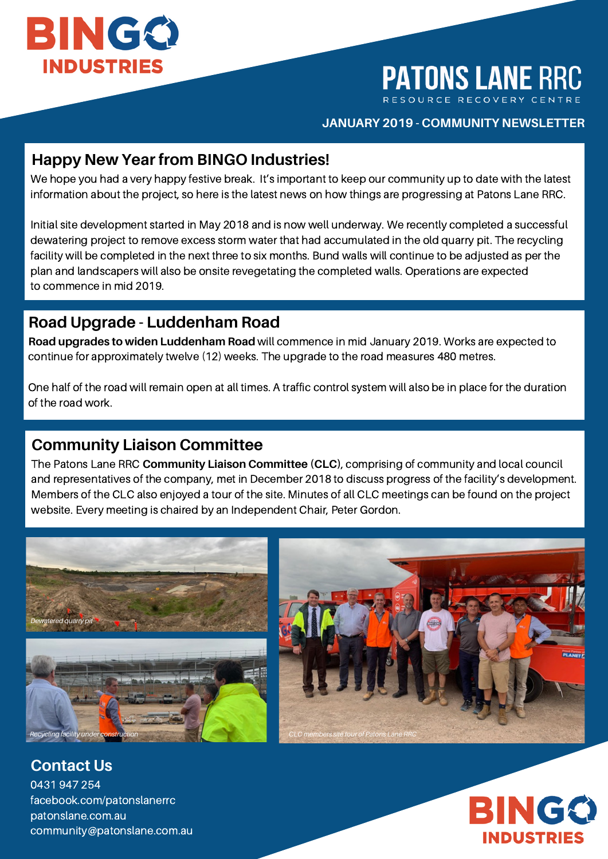

# **PATONS LANE RRC**

#### **JANUARY 2019 - COMMUNITY NEWSLETTER**

### **Happy New Year from BINGO Industries!**

We hope you had a very happy festive break. It's important to keep our community up to date with the latest information about the project, so here is the latest news on how things are progressing at Patons Lane RRC.

Initial site development started in May 2018 and is now well underway. We recently completed a successful dewatering project to remove excess storm water that had accumulated in the old quarry pit. The recycling facility will be completed in the next three to six months. Bund walls will continue to be adjusted as per the plan and landscapers will also be onsite revegetating the completed walls. Operations are expected to commence in mid 2019.

### **Road Upgrade - Luddenham Road**

**Road upgrades to widen Luddenham Road** will commence in mid January 2019. Works are expected to continue for approximately twelve (12) weeks. The upgrade to the road measures 480 metres.

One half of the road will remain open at all times. A traffic control system will also be in place for the duration of the road work.

## **Community Liaison Committee**

The Patons Lane RRC **Community Liaison Committee (CLC)**, comprising of community and local council and representatives of the company, met in December 2018 to discuss progress of the facility's development. Members of the CLC also enjoyed a tour of the site. Minutes of all CLC meetings can be found on the project website. Every meeting is chaired by an Independent Chair, Peter Gordon.





0431 947 254 facebook.com/patonslanerrc patonslane.com.au community@patonslane.com.au **Contact Us**